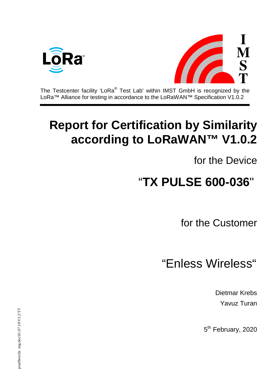



The Testcenter facility 'LoRa® Test Lab' within IMST GmbH is recognized by the LoRa™ Alliance for testing in accordance to the LoRaWAN™ Specification V1.0.2

## **Report for Certification by Similarity according to LoRaWAN™ V1.0.2**

for the Device

# "**TX PULSE 600-036**"

for the Customer

### "Enless Wireless"

Dietmar Krebs Yavuz Turan

5<sup>th</sup> February, 2020